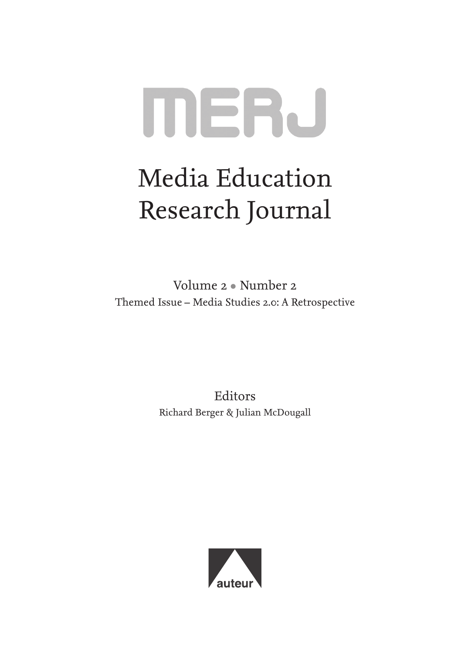# **MERJ**

## Media Education Research Journal

Volume 2 • Number 2 Themed Issue – Media Studies 2.0: A Retrospective

> Editors Richard Berger & Julian McDougall

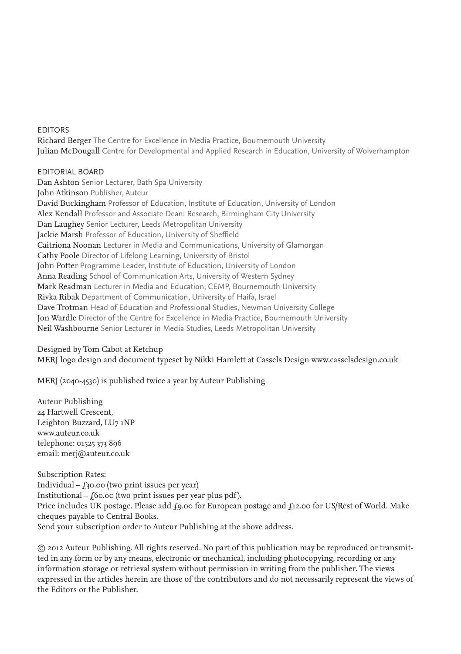#### **EDITORS**

Richard Berger The Centre for Excellence in Media Practice, Bournemouth University Julian McDougall Centre for Developmental and Applied Research in Education, University of Wolverhampton

#### Editorial Board

Dan Ashton Senior Lecturer, Bath Spa University John Atkinson Publisher, Auteur David Buckingham Professor of Education, Institute of Education, University of London Alex Kendall Professor and Associate Dean: Research, Birmingham City University Dan Laughey Senior Lecturer, Leeds Metropolitan University Jackie Marsh Professor of Education, University of Sheffield Caitriona Noonan Lecturer in Media and Communications, University of Glamorgan Cathy Poole Director of Lifelong Learning, University of Bristol John Potter Programme Leader, Institute of Education, University of London Anna Reading School of Communication Arts, University of Western Sydney Mark Readman Lecturer in Media and Education, CEMP, Bournemouth University Rivka Ribak Department of Communication, University of Haifa, Israel Dave Trotman Head of Education and Professional Studies, Newman University College Jon Wardle Director of the Centre for Excellence in Media Practice, Bournemouth University Neil Washbourne Senior Lecturer in Media Studies, Leeds Metropolitan University

Designed by Tom Cabot at Ketchup MERJ logo design and document typeset by Nikki Hamlett at Cassels Design www.casselsdesign.co.uk

MERJ (2040-4530) is published twice a year by Auteur Publishing

Auteur Publishing 24 Hartwell Crescent, Leighton Buzzard, LU7 1NP www.auteur.co.uk telephone: 01525 373 896 email: merj@auteur.co.uk

Subscription Rates: Individual –  $f_3$ 0.00 (two print issues per year) Institutional –  $f$ 60.00 (two print issues per year plus pdf). Price includes UK postage. Please add  $f_9.00$  for European postage and  $f_{12.00}$  for US/Rest of World. Make cheques payable to Central Books. Send your subscription order to Auteur Publishing at the above address.

© 2012 Auteur Publishing. All rights reserved. No part of this publication may be reproduced or transmitted in any form or by any means, electronic or mechanical, including photocopying, recording or any information storage or retrieval system without permission in writing from the publisher. The views expressed in the articles herein are those of the contributors and do not necessarily represent the views of the Editors or the Publisher.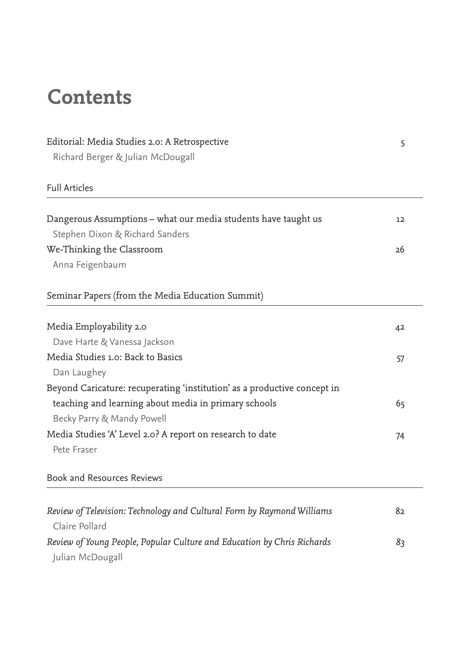## **Contents**

| Editorial: Media Studies 2.0: A Retrospective<br>Richard Berger & Julian McDougall | 5  |
|------------------------------------------------------------------------------------|----|
|                                                                                    |    |
|                                                                                    |    |
| Dangerous Assumptions - what our media students have taught us                     | 12 |
| Stephen Dixon & Richard Sanders                                                    |    |
| We-Thinking the Classroom                                                          | 26 |
| Anna Feigenbaum                                                                    |    |
| Seminar Papers (from the Media Education Summit)                                   |    |
| Media Employability 2.0                                                            | 42 |
| Dave Harte & Vanessa Jackson                                                       |    |
| Media Studies 1.0: Back to Basics                                                  | 57 |
| Dan Laughey                                                                        |    |
| Beyond Caricature: recuperating 'institution' as a productive concept in           |    |
| teaching and learning about media in primary schools                               | 65 |
| Becky Parry & Mandy Powell                                                         |    |
| Media Studies 'A' Level 2.0? A report on research to date                          | 74 |
| Pete Fraser                                                                        |    |
| <b>Book and Resources Reviews</b>                                                  |    |
|                                                                                    |    |
| Review of Television: Technology and Cultural Form by Raymond Williams             | 82 |
| Claire Pollard                                                                     |    |
| Review of Young People, Popular Culture and Education by Chris Richards            | 83 |
| Julian McDougall                                                                   |    |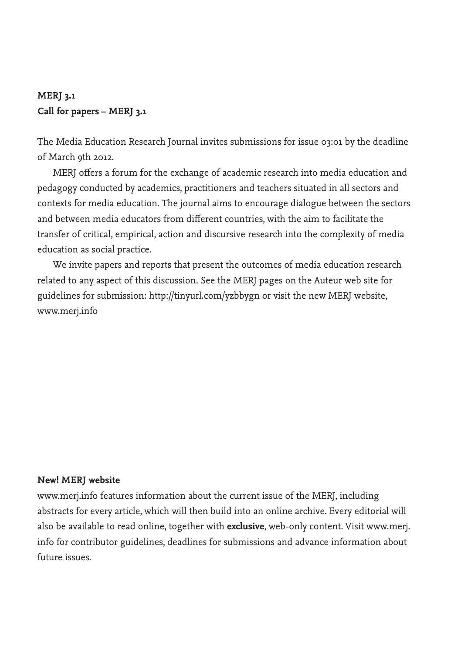## **MERJ 3.1 Call for papers – MERJ 3.1**

The Media Education Research Journal invites submissions for issue 03:01 by the deadline of March 9th 2012.

MERJ offers a forum for the exchange of academic research into media education and pedagogy conducted by academics, practitioners and teachers situated in all sectors and contexts for media education. The journal aims to encourage dialogue between the sectors and between media educators from different countries, with the aim to facilitate the transfer of critical, empirical, action and discursive research into the complexity of media education as social practice.

We invite papers and reports that present the outcomes of media education research related to any aspect of this discussion. See the MERJ pages on the Auteur web site for guidelines for submission: http://tinyurl.com/yzbbygn or visit the new MERJ website, www.merj.info

### **New! MERJ website**

www.merj.info features information about the current issue of the MERJ, including abstracts for every article, which will then build into an online archive. Every editorial will also be available to read online, together with **exclusive**, web-only content. Visit www.merj. info for contributor guidelines, deadlines for submissions and advance information about future issues.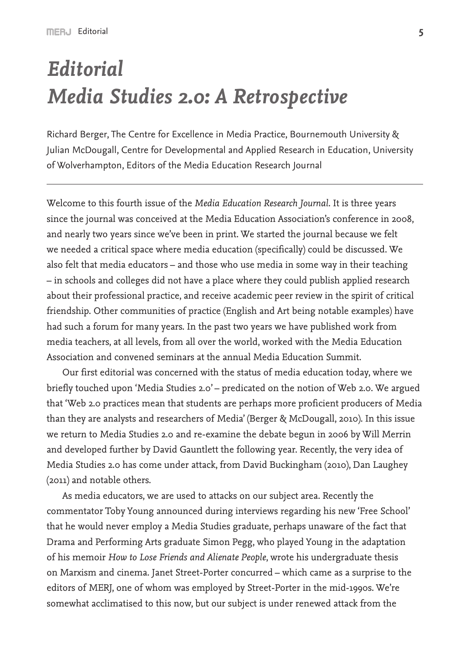## *Editorial Media Studies 2.0: A Retrospective*

Richard Berger, The Centre for Excellence in Media Practice, Bournemouth University & Julian McDougall, Centre for Developmental and Applied Research in Education, University of Wolverhampton, Editors of the Media Education Research Journal

Welcome to this fourth issue of the *Media Education Research Journal*. It is three years since the journal was conceived at the Media Education Association's conference in 2008, and nearly two years since we've been in print. We started the journal because we felt we needed a critical space where media education (specifically) could be discussed. We also felt that media educators – and those who use media in some way in their teaching – in schools and colleges did not have a place where they could publish applied research about their professional practice, and receive academic peer review in the spirit of critical friendship. Other communities of practice (English and Art being notable examples) have had such a forum for many years. In the past two years we have published work from media teachers, at all levels, from all over the world, worked with the Media Education Association and convened seminars at the annual Media Education Summit.

Our first editorial was concerned with the status of media education today, where we briefly touched upon 'Media Studies 2.0' – predicated on the notion of Web 2.0. We argued that 'Web 2.0 practices mean that students are perhaps more proficient producers of Media than they are analysts and researchers of Media' (Berger & McDougall, 2010). In this issue we return to Media Studies 2.0 and re-examine the debate begun in 2006 by Will Merrin and developed further by David Gauntlett the following year. Recently, the very idea of Media Studies 2.0 has come under attack, from David Buckingham (2010), Dan Laughey (2011) and notable others.

As media educators, we are used to attacks on our subject area. Recently the commentator Toby Young announced during interviews regarding his new 'Free School' that he would never employ a Media Studies graduate, perhaps unaware of the fact that Drama and Performing Arts graduate Simon Pegg, who played Young in the adaptation of his memoir *How to Lose Friends and Alienate People*, wrote his undergraduate thesis on Marxism and cinema. Janet Street-Porter concurred – which came as a surprise to the editors of MERJ, one of whom was employed by Street-Porter in the mid-1990s. We're somewhat acclimatised to this now, but our subject is under renewed attack from the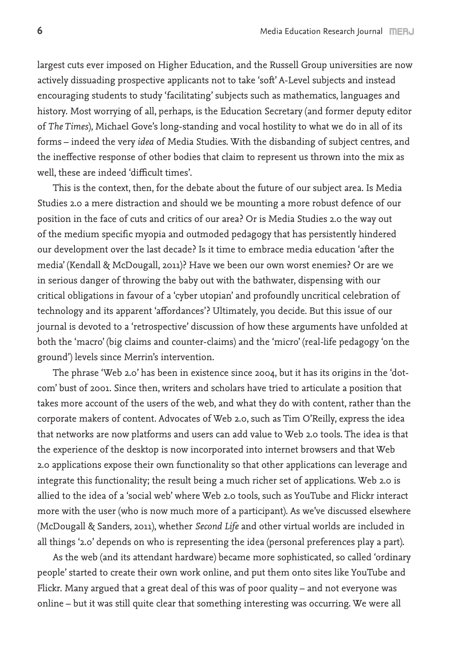largest cuts ever imposed on Higher Education, and the Russell Group universities are now actively dissuading prospective applicants not to take 'soft' A-Level subjects and instead encouraging students to study 'facilitating' subjects such as mathematics, languages and history. Most worrying of all, perhaps, is the Education Secretary (and former deputy editor of *The Times*), Michael Gove's long-standing and vocal hostility to what we do in all of its forms – indeed the very *idea* of Media Studies. With the disbanding of subject centres, and the ineffective response of other bodies that claim to represent us thrown into the mix as well, these are indeed 'difficult times'.

This is the context, then, for the debate about the future of our subject area. Is Media Studies 2.0 a mere distraction and should we be mounting a more robust defence of our position in the face of cuts and critics of our area? Or is Media Studies 2.0 the way out of the medium specific myopia and outmoded pedagogy that has persistently hindered our development over the last decade? Is it time to embrace media education 'after the media' (Kendall & McDougall, 2011)? Have we been our own worst enemies? Or are we in serious danger of throwing the baby out with the bathwater, dispensing with our critical obligations in favour of a 'cyber utopian' and profoundly uncritical celebration of technology and its apparent 'affordances'? Ultimately, you decide. But this issue of our journal is devoted to a 'retrospective' discussion of how these arguments have unfolded at both the 'macro' (big claims and counter-claims) and the 'micro' (real-life pedagogy 'on the ground') levels since Merrin's intervention.

The phrase 'Web 2.0' has been in existence since 2004, but it has its origins in the 'dotcom' bust of 2001. Since then, writers and scholars have tried to articulate a position that takes more account of the users of the web, and what they do with content, rather than the corporate makers of content. Advocates of Web 2.0, such as Tim O'Reilly, express the idea that networks are now platforms and users can add value to Web 2.0 tools. The idea is that the experience of the desktop is now incorporated into internet browsers and that Web 2.0 applications expose their own functionality so that other applications can leverage and integrate this functionality; the result being a much richer set of applications. Web 2.0 is allied to the idea of a 'social web' where Web 2.0 tools, such as YouTube and Flickr interact more with the user (who is now much more of a participant). As we've discussed elsewhere (McDougall & Sanders, 2011), whether *Second Life* and other virtual worlds are included in all things '2.0' depends on who is representing the idea (personal preferences play a part).

As the web (and its attendant hardware) became more sophisticated, so called 'ordinary people' started to create their own work online, and put them onto sites like YouTube and Flickr. Many argued that a great deal of this was of poor quality – and not everyone was online – but it was still quite clear that something interesting was occurring. We were all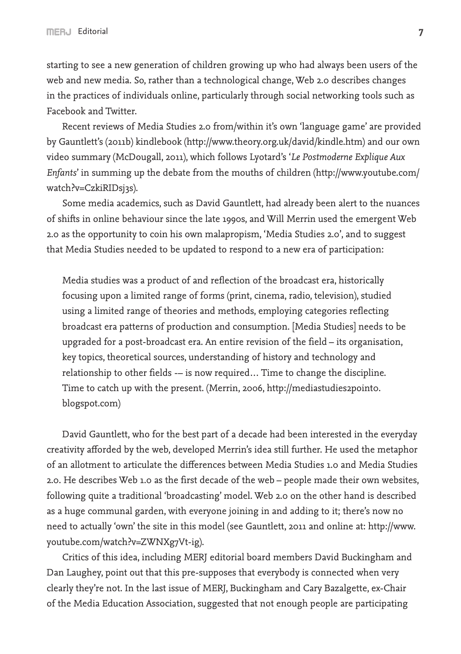starting to see a new generation of children growing up who had always been users of the web and new media. So, rather than a technological change, Web 2.0 describes changes in the practices of individuals online, particularly through social networking tools such as Facebook and Twitter.

Recent reviews of Media Studies 2.0 from/within it's own 'language game' are provided by Gauntlett's (2011b) kindlebook (http://www.theory.org.uk/david/kindle.htm) and our own video summary (McDougall, 2011), which follows Lyotard's '*Le Postmoderne Explique Aux Enfants*' in summing up the debate from the mouths of children (http://www.youtube.com/ watch?v=CzkiRIDsj3s).

Some media academics, such as David Gauntlett, had already been alert to the nuances of shifts in online behaviour since the late 1990s, and Will Merrin used the emergent Web 2.0 as the opportunity to coin his own malapropism, 'Media Studies 2.0', and to suggest that Media Studies needed to be updated to respond to a new era of participation:

Media studies was a product of and reflection of the broadcast era, historically focusing upon a limited range of forms (print, cinema, radio, television), studied using a limited range of theories and methods, employing categories reflecting broadcast era patterns of production and consumption. [Media Studies] needs to be upgraded for a post-broadcast era. An entire revision of the field – its organisation, key topics, theoretical sources, understanding of history and technology and relationship to other fields -– is now required… Time to change the discipline. Time to catch up with the present. (Merrin, 2006, http://mediastudies2point0. blogspot.com)

David Gauntlett, who for the best part of a decade had been interested in the everyday creativity afforded by the web, developed Merrin's idea still further. He used the metaphor of an allotment to articulate the differences between Media Studies 1.0 and Media Studies 2.0. He describes Web 1.0 as the first decade of the web – people made their own websites, following quite a traditional 'broadcasting' model. Web 2.0 on the other hand is described as a huge communal garden, with everyone joining in and adding to it; there's now no need to actually 'own' the site in this model (see Gauntlett, 2011 and online at: http://www. youtube.com/watch?v=ZWNXg7Vt-ig).

Critics of this idea, including MERJ editorial board members David Buckingham and Dan Laughey, point out that this pre-supposes that everybody is connected when very clearly they're not. In the last issue of MERJ, Buckingham and Cary Bazalgette, ex-Chair of the Media Education Association, suggested that not enough people are participating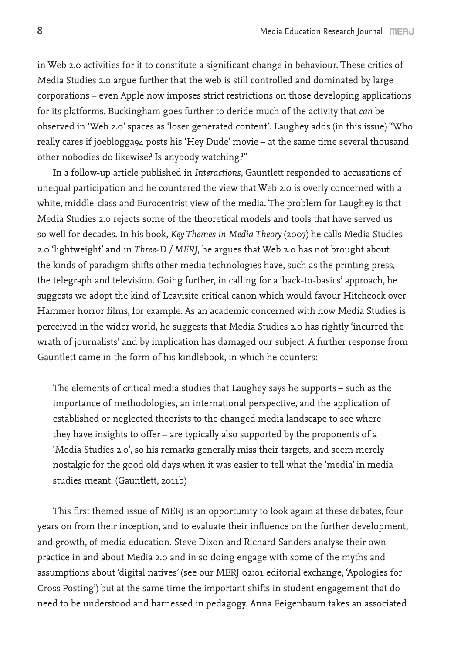in Web 2.0 activities for it to constitute a significant change in behaviour. These critics of Media Studies 2.0 argue further that the web is still controlled and dominated by large corporations – even Apple now imposes strict restrictions on those developing applications for its platforms. Buckingham goes further to deride much of the activity that *can* be observed in 'Web 2.0' spaces as 'loser generated content'. Laughey adds (in this issue) "Who really cares if joeblogga94 posts his 'Hey Dude' movie – at the same time several thousand other nobodies do likewise? Is anybody watching?"

In a follow-up article published in *Interactions*, Gauntlett responded to accusations of unequal participation and he countered the view that Web 2.0 is overly concerned with a white, middle-class and Eurocentrist view of the media. The problem for Laughey is that Media Studies 2.0 rejects some of the theoretical models and tools that have served us so well for decades. In his book, *Key Themes in Media Theory* (2007) he calls Media Studies 2.0 'lightweight' and in *Three-D / MERJ*, he argues that Web 2.0 has not brought about the kinds of paradigm shifts other media technologies have, such as the printing press, the telegraph and television. Going further, in calling for a 'back-to-basics' approach, he suggests we adopt the kind of Leavisite critical canon which would favour Hitchcock over Hammer horror films, for example. As an academic concerned with how Media Studies is perceived in the wider world, he suggests that Media Studies 2.0 has rightly 'incurred the wrath of journalists' and by implication has damaged our subject. A further response from Gauntlett came in the form of his kindlebook, in which he counters:

The elements of critical media studies that Laughey says he supports – such as the importance of methodologies, an international perspective, and the application of established or neglected theorists to the changed media landscape to see where they have insights to offer – are typically also supported by the proponents of a 'Media Studies 2.0', so his remarks generally miss their targets, and seem merely nostalgic for the good old days when it was easier to tell what the 'media' in media studies meant. (Gauntlett, 2011b)

This first themed issue of MERJ is an opportunity to look again at these debates, four years on from their inception, and to evaluate their influence on the further development, and growth, of media education. Steve Dixon and Richard Sanders analyse their own practice in and about Media 2.0 and in so doing engage with some of the myths and assumptions about 'digital natives' (see our MERJ 02:01 editorial exchange, 'Apologies for Cross Posting') but at the same time the important shifts in student engagement that do need to be understood and harnessed in pedagogy. Anna Feigenbaum takes an associated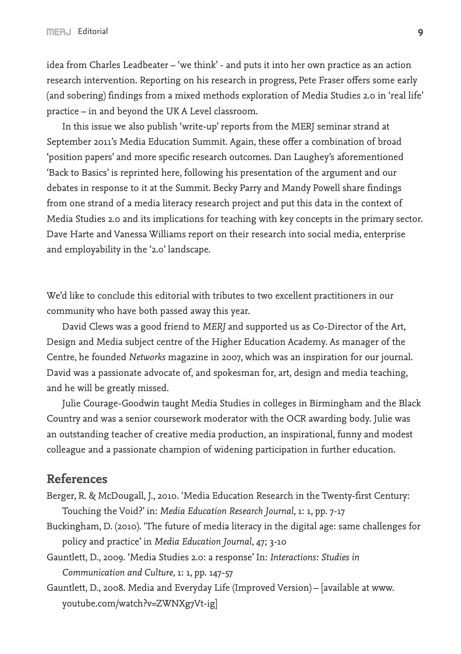idea from Charles Leadbeater – 'we think' - and puts it into her own practice as an action research intervention. Reporting on his research in progress, Pete Fraser offers some early (and sobering) findings from a mixed methods exploration of Media Studies 2.0 in 'real life' practice – in and beyond the UK A Level classroom.

In this issue we also publish 'write-up' reports from the MERJ seminar strand at September 2011's Media Education Summit. Again, these offer a combination of broad 'position papers' and more specific research outcomes. Dan Laughey's aforementioned 'Back to Basics' is reprinted here, following his presentation of the argument and our debates in response to it at the Summit. Becky Parry and Mandy Powell share findings from one strand of a media literacy research project and put this data in the context of Media Studies 2.0 and its implications for teaching with key concepts in the primary sector. Dave Harte and Vanessa Williams report on their research into social media, enterprise and employability in the '2.0' landscape.

We'd like to conclude this editorial with tributes to two excellent practitioners in our community who have both passed away this year.

David Clews was a good friend to *MERJ* and supported us as Co-Director of the Art, Design and Media subject centre of the Higher Education Academy. As manager of the Centre, he founded *Networks* magazine in 2007, which was an inspiration for our journal. David was a passionate advocate of, and spokesman for, art, design and media teaching, and he will be greatly missed.

Julie Courage-Goodwin taught Media Studies in colleges in Birmingham and the Black Country and was a senior coursework moderator with the OCR awarding body. Julie was an outstanding teacher of creative media production, an inspirational, funny and modest colleague and a passionate champion of widening participation in further education.

## **References**

- Berger, R. & McDougall, J., 2010. 'Media Education Research in the Twenty-first Century: Touching the Void?' in: *Media Education Research Journal*, 1: 1, pp. 7-17
- Buckingham, D. (2010). 'The future of media literacy in the digital age: same challenges for policy and practice' in *Media Education Journal*, 47; 3-10
- Gauntlett, D., 2009. 'Media Studies 2.0: a response' In: *Interactions: Studies in Communication and Culture*, 1: 1, pp. 147-57
- Gauntlett, D., 2008. Media and Everyday Life (Improved Version) [available at www. youtube.com/watch?v=ZWNXg7Vt-ig]